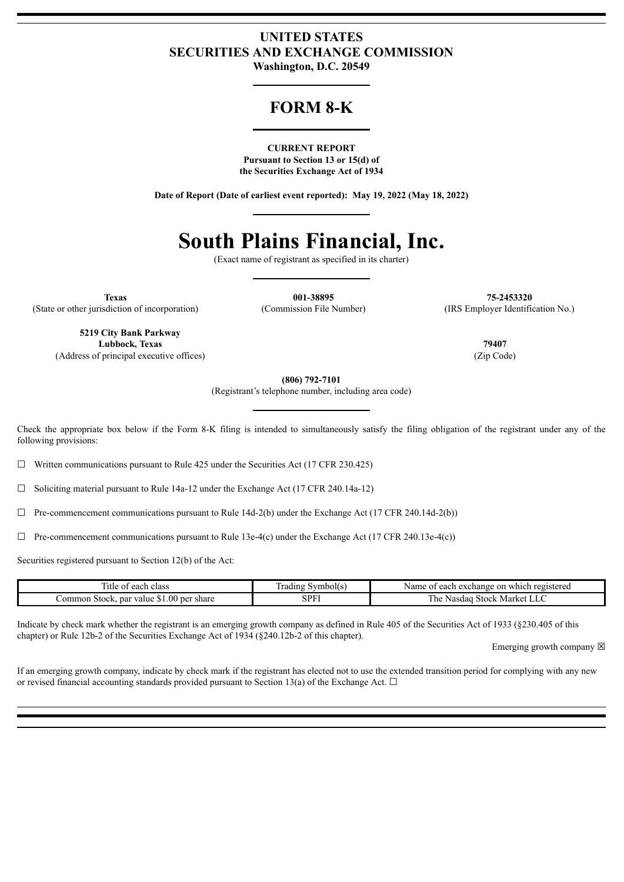## **UNITED STATES SECURITIES AND EXCHANGE COMMISSION Washington, D.C. 20549**

## **FORM 8-K**

**CURRENT REPORT Pursuant to Section 13 or 15(d) of the Securities Exchange Act of 1934**

**Date of Report (Date of earliest event reported): May 19, 2022 (May 18, 2022)**

# **South Plains Financial, Inc.**

(Exact name of registrant as specified in its charter)

**Texas 001-38895 75-2453320** (State or other jurisdiction of incorporation) (Commission File Number) (IRS Employer Identification No.)

**5219 City Bank Parkway Lubbock, Texas 79407** (Address of principal executive offices) (Zip Code)

**(806) 792-7101**

(Registrant's telephone number, including area code)

Check the appropriate box below if the Form 8-K filing is intended to simultaneously satisfy the filing obligation of the registrant under any of the following provisions:

 $\Box$  Written communications pursuant to Rule 425 under the Securities Act (17 CFR 230.425)

 $\Box$  Soliciting material pursuant to Rule 14a-12 under the Exchange Act (17 CFR 240.14a-12)

 $\Box$  Pre-commencement communications pursuant to Rule 14d-2(b) under the Exchange Act (17 CFR 240.14d-2(b))

 $\Box$  Pre-commencement communications pursuant to Rule 13e-4(c) under the Exchange Act (17 CFR 240.13e-4(c))

Securities registered pursuant to Section 12(b) of the Act:

| 1tle of<br>class<br>each                                 | symbol(s<br>rading | Name<br>registered<br>exchange on<br>≅which re<br>each<br>ΩŤ |
|----------------------------------------------------------|--------------------|--------------------------------------------------------------|
| \$1.00<br>par value<br>share<br>per<br>Common_<br>Stock. | CDEI<br>υı         | r ne-<br>Market<br>Stock.<br>Nasdad<br><b>LLC</b>            |

Indicate by check mark whether the registrant is an emerging growth company as defined in Rule 405 of the Securities Act of 1933 (§230.405 of this chapter) or Rule 12b-2 of the Securities Exchange Act of 1934 (§240.12b-2 of this chapter).

Emerging growth company  $\boxtimes$ 

If an emerging growth company, indicate by check mark if the registrant has elected not to use the extended transition period for complying with any new or revised financial accounting standards provided pursuant to Section 13(a) of the Exchange Act.  $\Box$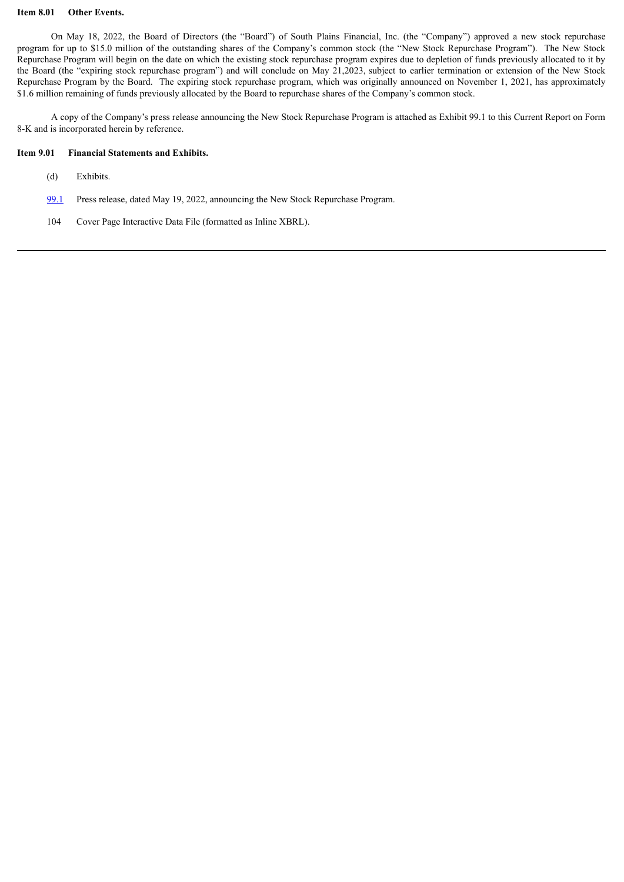## **Item 8.01 Other Events.**

On May 18, 2022, the Board of Directors (the "Board") of South Plains Financial, Inc. (the "Company") approved a new stock repurchase program for up to \$15.0 million of the outstanding shares of the Company's common stock (the "New Stock Repurchase Program"). The New Stock Repurchase Program will begin on the date on which the existing stock repurchase program expires due to depletion of funds previously allocated to it by the Board (the "expiring stock repurchase program") and will conclude on May 21,2023, subject to earlier termination or extension of the New Stock Repurchase Program by the Board. The expiring stock repurchase program, which was originally announced on November 1, 2021, has approximately \$1.6 million remaining of funds previously allocated by the Board to repurchase shares of the Company's common stock.

A copy of the Company's press release announcing the New Stock Repurchase Program is attached as Exhibit 99.1 to this Current Report on Form 8-K and is incorporated herein by reference.

## **Item 9.01 Financial Statements and Exhibits.**

- (d) Exhibits.
- [99.1](#page-3-0) Press release, dated May 19, 2022, announcing the New Stock Repurchase Program.
- 104 Cover Page Interactive Data File (formatted as Inline XBRL).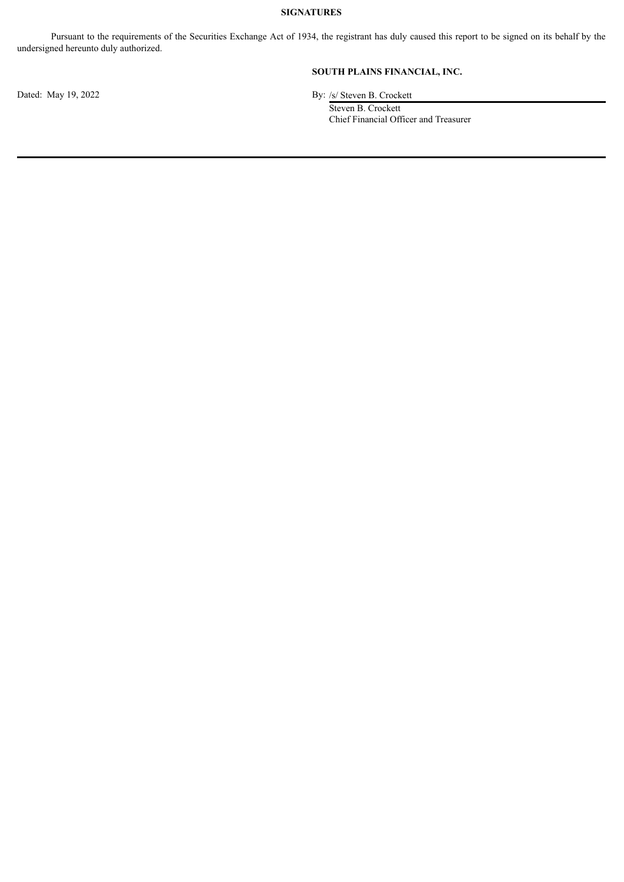## **SIGNATURES**

Pursuant to the requirements of the Securities Exchange Act of 1934, the registrant has duly caused this report to be signed on its behalf by the undersigned hereunto duly authorized.

## **SOUTH PLAINS FINANCIAL, INC.**

Dated: May 19, 2022 By: /s/ Steven B. Crockett

Steven B. Crockett Chief Financial Officer and Treasurer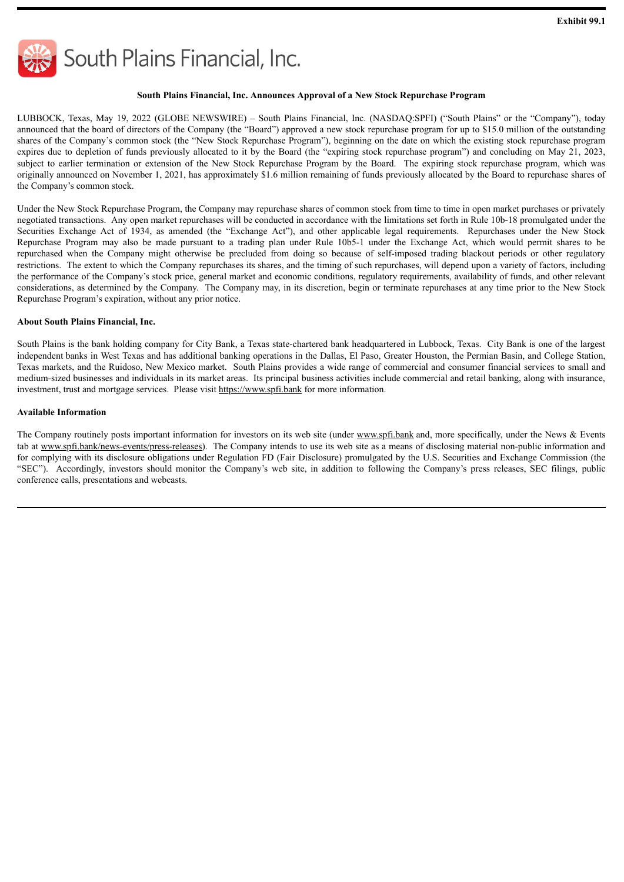<span id="page-3-0"></span>

## **South Plains Financial, Inc. Announces Approval of a New Stock Repurchase Program**

LUBBOCK, Texas, May 19, 2022 (GLOBE NEWSWIRE) – South Plains Financial, Inc. (NASDAQ:SPFI) ("South Plains" or the "Company"), today announced that the board of directors of the Company (the "Board") approved a new stock repurchase program for up to \$15.0 million of the outstanding shares of the Company's common stock (the "New Stock Repurchase Program"), beginning on the date on which the existing stock repurchase program expires due to depletion of funds previously allocated to it by the Board (the "expiring stock repurchase program") and concluding on May 21, 2023, subject to earlier termination or extension of the New Stock Repurchase Program by the Board. The expiring stock repurchase program, which was originally announced on November 1, 2021, has approximately \$1.6 million remaining of funds previously allocated by the Board to repurchase shares of the Company's common stock.

Under the New Stock Repurchase Program, the Company may repurchase shares of common stock from time to time in open market purchases or privately negotiated transactions. Any open market repurchases will be conducted in accordance with the limitations set forth in Rule 10b-18 promulgated under the Securities Exchange Act of 1934, as amended (the "Exchange Act"), and other applicable legal requirements. Repurchases under the New Stock Repurchase Program may also be made pursuant to a trading plan under Rule 10b5-1 under the Exchange Act, which would permit shares to be repurchased when the Company might otherwise be precluded from doing so because of self-imposed trading blackout periods or other regulatory restrictions. The extent to which the Company repurchases its shares, and the timing of such repurchases, will depend upon a variety of factors, including the performance of the Company's stock price, general market and economic conditions, regulatory requirements, availability of funds, and other relevant considerations, as determined by the Company. The Company may, in its discretion, begin or terminate repurchases at any time prior to the New Stock Repurchase Program's expiration, without any prior notice.

## **About South Plains Financial, Inc.**

South Plains is the bank holding company for City Bank, a Texas state-chartered bank headquartered in Lubbock, Texas. City Bank is one of the largest independent banks in West Texas and has additional banking operations in the Dallas, El Paso, Greater Houston, the Permian Basin, and College Station, Texas markets, and the Ruidoso, New Mexico market. South Plains provides a wide range of commercial and consumer financial services to small and medium-sized businesses and individuals in its market areas. Its principal business activities include commercial and retail banking, along with insurance, investment, trust and mortgage services. Please visit https://www.spfi.bank for more information.

## **Available Information**

The Company routinely posts important information for investors on its web site (under www.spfi.bank and, more specifically, under the News & Events tab at www.spfi.bank/news-events/press-releases). The Company intends to use its web site as a means of disclosing material non-public information and for complying with its disclosure obligations under Regulation FD (Fair Disclosure) promulgated by the U.S. Securities and Exchange Commission (the "SEC"). Accordingly, investors should monitor the Company's web site, in addition to following the Company's press releases, SEC filings, public conference calls, presentations and webcasts.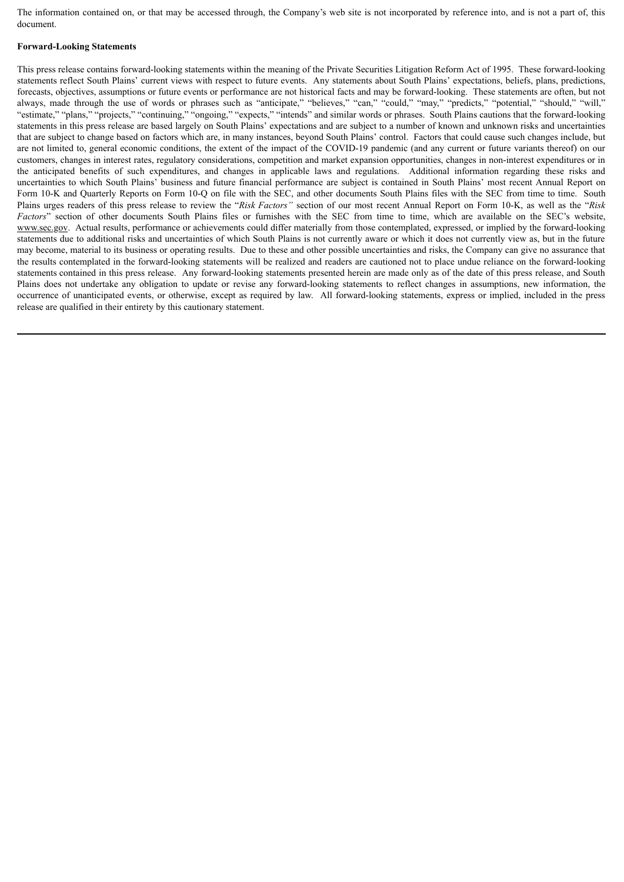The information contained on, or that may be accessed through, the Company's web site is not incorporated by reference into, and is not a part of, this document.

#### **Forward-Looking Statements**

This press release contains forward-looking statements within the meaning of the Private Securities Litigation Reform Act of 1995. These forward-looking statements reflect South Plains' current views with respect to future events. Any statements about South Plains' expectations, beliefs, plans, predictions, forecasts, objectives, assumptions or future events or performance are not historical facts and may be forward-looking. These statements are often, but not always, made through the use of words or phrases such as "anticipate," "believes," "can," "could," "may," "predicts," "potential," "should," "will," "estimate," "plans," "projects," "continuing," "ongoing," "expects," "intends" and similar words or phrases. South Plains cautions that the forward-looking statements in this press release are based largely on South Plains' expectations and are subject to a number of known and unknown risks and uncertainties that are subject to change based on factors which are, in many instances, beyond South Plains' control. Factors that could cause such changes include, but are not limited to, general economic conditions, the extent of the impact of the COVID-19 pandemic (and any current or future variants thereof) on our customers, changes in interest rates, regulatory considerations, competition and market expansion opportunities, changes in non-interest expenditures or in the anticipated benefits of such expenditures, and changes in applicable laws and regulations. Additional information regarding these risks and uncertainties to which South Plains' business and future financial performance are subject is contained in South Plains' most recent Annual Report on Form 10-K and Quarterly Reports on Form 10-Q on file with the SEC, and other documents South Plains files with the SEC from time to time. South Plains urges readers of this press release to review the "*Risk Factors"* section of our most recent Annual Report on Form 10-K, as well as the "*Risk Factors*" section of other documents South Plains files or furnishes with the SEC from time to time, which are available on the SEC's website, www.sec.gov. Actual results, performance or achievements could differ materially from those contemplated, expressed, or implied by the forward-looking statements due to additional risks and uncertainties of which South Plains is not currently aware or which it does not currently view as, but in the future may become, material to its business or operating results. Due to these and other possible uncertainties and risks, the Company can give no assurance that the results contemplated in the forward-looking statements will be realized and readers are cautioned not to place undue reliance on the forward-looking statements contained in this press release. Any forward-looking statements presented herein are made only as of the date of this press release, and South Plains does not undertake any obligation to update or revise any forward-looking statements to reflect changes in assumptions, new information, the occurrence of unanticipated events, or otherwise, except as required by law. All forward-looking statements, express or implied, included in the press release are qualified in their entirety by this cautionary statement.